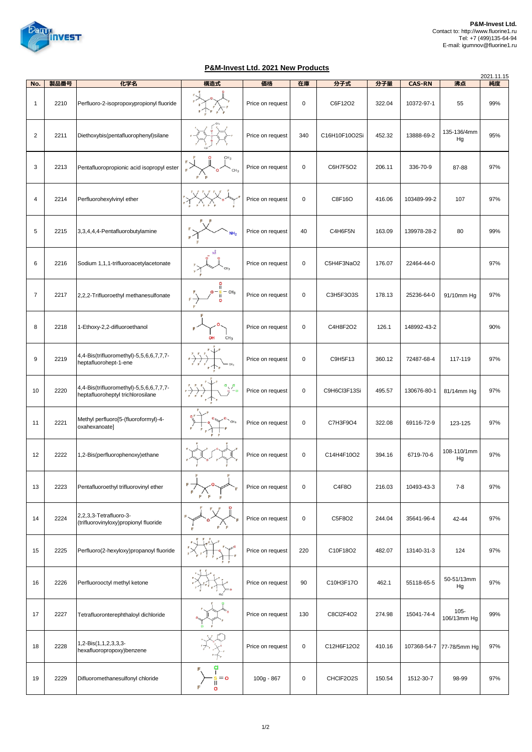

## **P&M-Invest Ltd. 2021 New Products**

| No.            | 製品番号 | 化学名                                                                          | <br>構造式                   | 価格               | 在庫        | 分子式           | 分子量    | <b>CAS-RN</b> | 沸点                     | 2021.11.15<br>純度 |
|----------------|------|------------------------------------------------------------------------------|---------------------------|------------------|-----------|---------------|--------|---------------|------------------------|------------------|
|                |      |                                                                              |                           |                  |           |               |        |               |                        |                  |
| $\mathbf{1}$   | 2210 | Perfluoro-2-isopropoxypropionyl fluoride                                     |                           | Price on request | 0         | C6F12O2       | 322.04 | 10372-97-1    | 55                     | 99%              |
| $\overline{2}$ | 2211 | Diethoxybis(pentafluorophenyl)silane                                         |                           | Price on request | 340       | C16H10F10O2Si | 452.32 | 13888-69-2    | 135-136/4mm<br>Hg      | 95%              |
| 3              | 2213 | Pentafluoropropionic acid isopropyl ester                                    |                           | Price on request | 0         | C6H7F5O2      | 206.11 | 336-70-9      | 87-88                  | 97%              |
| 4              | 2214 | Perfluorohexylvinyl ether                                                    |                           | Price on request | $\pmb{0}$ | C8F16O        | 416.06 | 103489-99-2   | 107                    | 97%              |
| 5              | 2215 | 3,3,4,4,4-Pentafluorobutylamine                                              | NH <sub>2</sub>           | Price on request | 40        | C4H6F5N       | 163.09 | 139978-28-2   | 80                     | 99%              |
| 6              | 2216 | Sodium 1,1,1-trifluoroacetylacetonate                                        |                           | Price on request | $\pmb{0}$ | C5H4F3NaO2    | 176.07 | 22464-44-0    |                        | 97%              |
| $\overline{7}$ | 2217 | 2,2,2-Trifluoroethyl methanesulfonate                                        | ူ<br>CH <sub>3</sub>      | Price on request | 0         | C3H5F3O3S     | 178.13 | 25236-64-0    | 91/10mm Hg             | 97%              |
| 8              | 2218 | 1-Ethoxy-2,2-difluoroethanol                                                 | CH <sub>3</sub><br>OH     | Price on request | 0         | C4H8F2O2      | 126.1  | 148992-43-2   |                        | 90%              |
| 9              | 2219 | 4,4-Bis(trifluoromethyl)-5,5,6,6,7,7,7-<br>heptafluorohept-1-ene             |                           | Price on request | 0         | C9H5F13       | 360.12 | 72487-68-4    | 117-119                | 97%              |
| 10             | 2220 | 4,4-Bis(trifluoromethyl)-5,5,6,6,7,7,7-<br>heptafluoroheptyl trichlorosilane |                           | Price on request | 0         | C9H6Cl3F13Si  | 495.57 | 130676-80-1   | 81/14mm Hg             | 97%              |
| 11             | 2221 | Methyl perfluoro[5-(fluoroformyl)-4-<br>oxahexanoate]                        | CH <sub>3</sub>           | Price on request | $\pmb{0}$ | C7H3F9O4      | 322.08 | 69116-72-9    | 123-125                | 97%              |
| 12             | 2222 | 1,2-Bis(perfluorophenoxy)ethane                                              |                           | Price on request | 0         | C14H4F10O2    | 394.16 | 6719-70-6     | 108-110/1mm<br>Hg      | 97%              |
| 13             | 2223 | Pentafluoroethyl trifluorovinyl ether                                        |                           | Price on request | $\pmb{0}$ | C4F8O         | 216.03 | 10493-43-3    | $7 - 8$                | 97%              |
| 14             | 2224 | 2,2,3,3-Tetrafluoro-3-<br>(trifluorovinyloxy)propionyl fluoride              |                           | Price on request | $\pmb{0}$ | C5F8O2        | 244.04 | 35641-96-4    | 42-44                  | 97%              |
| 15             | 2225 | Perfluoro(2-hexyloxy)propanoyl fluoride                                      |                           | Price on request | 220       | C10F18O2      | 482.07 | 13140-31-3    | 124                    | 97%              |
| 16             | 2226 | Perfluorooctyl methyl ketone                                                 |                           | Price on request | 90        | C10H3F17O     | 462.1  | 55118-65-5    | 50-51/13mm<br>Hg       | 97%              |
| 17             | 2227 | Tetrafluoronterephthaloyl dichloride                                         |                           | Price on request | 130       | C8Cl2F4O2     | 274.98 | 15041-74-4    | $105 -$<br>106/13mm Hg | 99%              |
| 18             | 2228 | 1,2-Bis(1,1,2,3,3,3-<br>hexafluoropropoxy)benzene                            |                           | Price on request | $\pmb{0}$ | C12H6F12O2    | 410.16 | 107368-54-7   | 77-78/5mm Hg           | 97%              |
| 19             | 2229 | Difluoromethanesulfonyl chloride                                             | d<br>L<br>$= 0$<br>Ī<br>O | 100g - 867       | 0         | CHCIF2O2S     | 150.54 | 1512-30-7     | 98-99                  | 97%              |